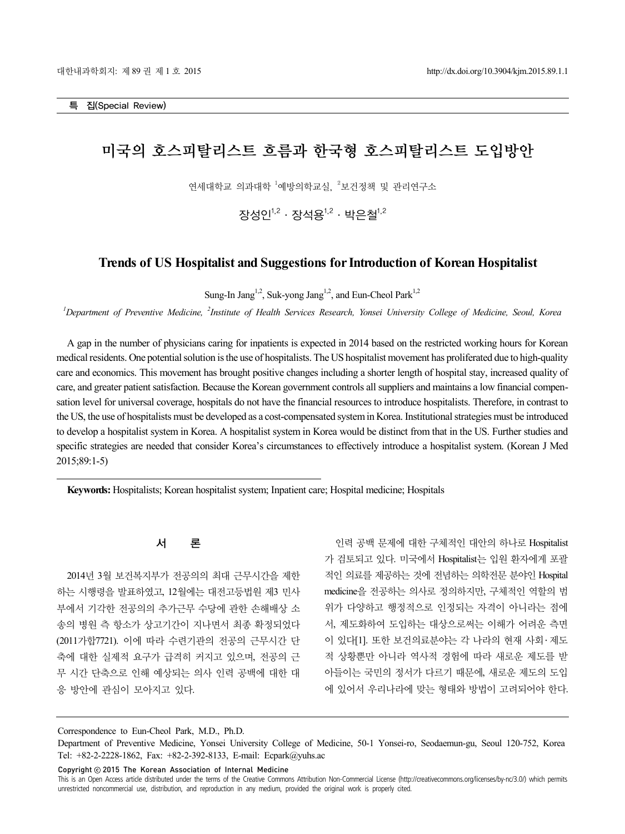# 미국의 호스피탈리스트 흐름과 한국형 호스피탈리스트 도입방안

연세대학교 의과대학 <sup>1</sup>예방의학교실, <sup>2</sup>보건정책 및 관리연구소

장성인 $1,2$  · 장석용 $1,2$  · 박은철 $1,2$ 

# **Trends of US Hospitalist and Suggestions for Introduction of Korean Hospitalist**

Sung-In Jang<sup>1,2</sup>, Suk-yong Jang<sup>1,2</sup>, and Eun-Cheol Park<sup>1,2</sup>

<sup>1</sup>Department of Preventive Medicine, <sup>2</sup>Institute of Health Services Research, Yonsei University College of Medicine, Seoul, Korea

A gap in the number of physicians caring for inpatients is expected in 2014 based on the restricted working hours for Korean medical residents. One potential solution is the use of hospitalists. The US hospitalist movement has proliferated due to high-quality care and economics. This movement has brought positive changes including a shorter length of hospital stay, increased quality of care, and greater patient satisfaction. Because the Korean government controls all suppliers and maintains a low financial compensation level for universal coverage, hospitals do not have the financial resources to introduce hospitalists. Therefore, in contrast to the US, the use of hospitalists must be developed as a cost-compensated system in Korea. Institutional strategies must be introduced to develop a hospitalist system in Korea. A hospitalist system in Korea would be distinct from that in the US. Further studies and specific strategies are needed that consider Korea's circumstances to effectively introduce a hospitalist system. (Korean J Med 2015;89:1-5)

**Keywords:** Hospitalists; Korean hospitalist system; Inpatient care; Hospital medicine; Hospitals

# 서 론

2014년 3월 보건복지부가 전공의의 최대 근무시간을 제한 하는 시행령을 발표하였고, 12월에는 대전고등법원 제3 민사 부에서 기각한 전공의의 추가근무 수당에 관한 손해배상 소 송의 병원 측 항소가 상고기간이 지나면서 최종 확정되었다 (2011가합7721). 이에 따라 수련기관의 전공의 근무시간 단 축에 대한 실제적 요구가 급격히 커지고 있으며, 전공의 근 무 시간 단축으로 인해 예상되는 의사 인력 공백에 대한 대 응 방안에 관심이 모아지고 있다.

인력 공백 문제에 대한 구체적인 대안의 하나로 Hospitalist 가 검토되고 있다. 미국에서 Hospitalist는 입원 환자에게 포괄 적인 의료를 제공하는 것에 전념하는 의학전문 분야인 Hospital medicine을 전공하는 의사로 정의하지만, 구체적인 역할의 범 위가 다양하고 행정적으로 인정되는 자격이 아니라는 점에 서, 제도화하여 도입하는 대상으로써는 이해가 어려운 측면 이 있다[1]. 또한 보건의료분야는 각 나라의 현재 사회․ 제도 적 상황뿐만 아니라 역사적 경험에 따라 새로운 제도를 받 아들이는 국민의 정서가 다르기 때문에, 새로운 제도의 도입 에 있어서 우리나라에 맞는 형태와 방법이 고려되어야 한다.

Correspondence to Eun-Cheol Park, M.D., Ph.D.

Copyright ⓒ 2015 The Korean Association of Internal Medicine

- 1 - This is an Open Access article distributed under the terms of the Creative Commons Attribution Non-Commercial License (http://creativecommons.org/licenses/by-nc/3.0/) which permits unrestricted noncommercial use, distribution, and reproduction in any medium, provided the original work is properly cited.

Department of Preventive Medicine, Yonsei University College of Medicine, 50-1 Yonsei-ro, Seodaemun-gu, Seoul 120-752, Korea Tel: +82-2-2228-1862, Fax: +82-2-392-8133, E-mail: Ecpark@yuhs.ac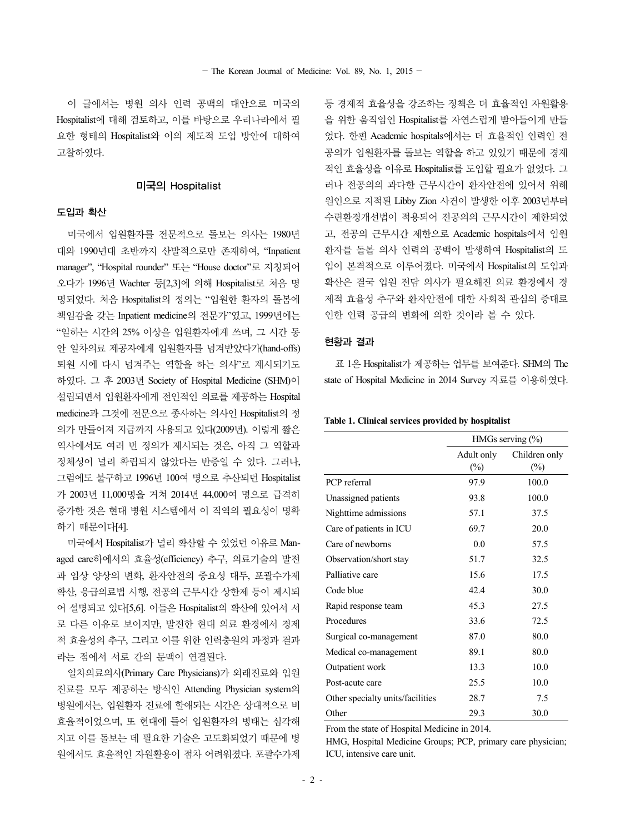이 글에서는 병원 의사 인력 공백의 대안으로 미국의 Hospitalist에 대해 검토하고, 이를 바탕으로 우리나라에서 필 요한 형태의 Hospitalist와 이의 제도적 도입 방안에 대하여 고찰하였다.

## 미국의 Hospitalist

## 도입과 확산

미국에서 입원환자를 전문적으로 돌보는 의사는 1980년 대와 1990년대 초반까지 산발적으로만 존재하여, "Inpatient manager", "Hospital rounder" 또는 "House doctor"로 지칭되어 오다가 1996년 Wachter 등[2,3]에 의해 Hospitalist로 처음 명 명되었다. 처음 Hospitalist의 정의는 "입원한 환자의 돌봄에 책임감을 갖는 Inpatient medicine의 전문가"였고, 1999년에는 "일하는 시간의 25% 이상을 입원환자에게 쓰며, 그 시간 동 안 일차의료 제공자에게 입원환자를 넘겨받았다가(hand-offs) 퇴원 시에 다시 넘겨주는 역할을 하는 의사"로 제시되기도 하였다. 그 후 2003년 Society of Hospital Medicine (SHM)이 설립되면서 입원환자에게 전인적인 의료를 제공하는 Hospital medicine과 그것에 전문으로 종사하는 의사인 Hospitalist의 정 의가 만들어져 지금까지 사용되고 있다(2009년). 이렇게 짧은 역사에서도 여러 번 정의가 제시되는 것은, 아직 그 역할과 정체성이 널리 확립되지 않았다는 반증일 수 있다. 그러나, 그럼에도 불구하고 1996년 100여 명으로 추산되던 Hospitalist 가 2003년 11,000명을 거쳐 2014년 44,000여 명으로 급격히 증가한 것은 현대 병원 시스템에서 이 직역의 필요성이 명확 하기 때문이다[4].

미국에서 Hospitalist가 널리 확산할 수 있었던 이유로 Managed care하에서의 효율성(efficiency) 추구, 의료기술의 발전 과 임상 양상의 변화, 환자안전의 중요성 대두, 포괄수가제 확산, 응급의료법 시행, 전공의 근무시간 상한제 등이 제시되 어 설명되고 있다[5,6]. 이들은 Hospitalist의 확산에 있어서 서 로 다른 이유로 보이지만, 발전한 현대 의료 환경에서 경제 적 효율성의 추구, 그리고 이를 위한 인력충원의 과정과 결과 라는 점에서 서로 간의 문맥이 연결된다.

일차의료의사(Primary Care Physicians)가 외래진료와 입원 진료를 모두 제공하는 방식인 Attending Physician system의 병원에서는, 입원환자 진료에 할애되는 시간은 상대적으로 비 효율적이었으며, 또 현대에 들어 입원환자의 병태는 심각해 지고 이를 돌보는 데 필요한 기술은 고도화되었기 때문에 병 원에서도 효율적인 자원활용이 점차 어려워졌다. 포괄수가제 등 경제적 효율성을 강조하는 정책은 더 효율적인 자원활용 을 위한 움직임인 Hospitalist를 자연스럽게 받아들이게 만들 었다. 한편 Academic hospitals에서는 더 효율적인 인력인 전 공의가 입원환자를 돌보는 역할을 하고 있었기 때문에 경제 적인 효율성을 이유로 Hospitalist를 도입할 필요가 없었다. 그 러나 전공의의 과다한 근무시간이 환자안전에 있어서 위해 원인으로 지적된 Libby Zion 사건이 발생한 이후 2003년부터 수련환경개선법이 적용되어 전공의의 근무시간이 제한되었 고, 전공의 근무시간 제한으로 Academic hospitals에서 입원 환자를 돌볼 의사 인력의 공백이 발생하여 Hospitalist의 도 입이 본격적으로 이루어졌다. 미국에서 Hospitalist의 도입과 확산은 결국 입원 전담 의사가 필요해진 의료 환경에서 경 제적 효율성 추구와 환자안전에 대한 사회적 관심의 증대로 인한 인력 공급의 변화에 의한 것이라 볼 수 있다.

## 현황과 결과

표 1은 Hospitalist가 제공하는 업무를 보여준다. SHM의 The state of Hospital Medicine in 2014 Survey 자료를 이용하였다.

## **Table 1. Clinical services provided by hospitalist**

|                                  | HMGs serving $(\%)$ |               |
|----------------------------------|---------------------|---------------|
|                                  | Adult only          | Children only |
|                                  | $(\%)$              | $(\%)$        |
| PCP referral                     | 97.9                | 100.0         |
| Unassigned patients              | 93.8                | 100.0         |
| Nighttime admissions             | 57.1                | 37.5          |
| Care of patients in ICU          | 69.7                | 20.0          |
| Care of newborns                 | 0 <sub>0</sub>      | 57.5          |
| Observation/short stay           | 51.7                | 32.5          |
| Palliative care                  | 15.6                | 17.5          |
| Code blue                        | 42.4                | 30.0          |
| Rapid response team              | 45.3                | 27.5          |
| Procedures                       | 33.6                | 72.5          |
| Surgical co-management           | 87.0                | 80.0          |
| Medical co-management            | 89.1                | 80.0          |
| Outpatient work                  | 13.3                | 10.0          |
| Post-acute care                  | 25.5                | 10.0          |
| Other specialty units/facilities | 28.7                | 7.5           |
| Other                            | 29.3                | 30.0          |

From the state of Hospital Medicine in 2014.

HMG, Hospital Medicine Groups; PCP, primary care physician; ICU, intensive care unit.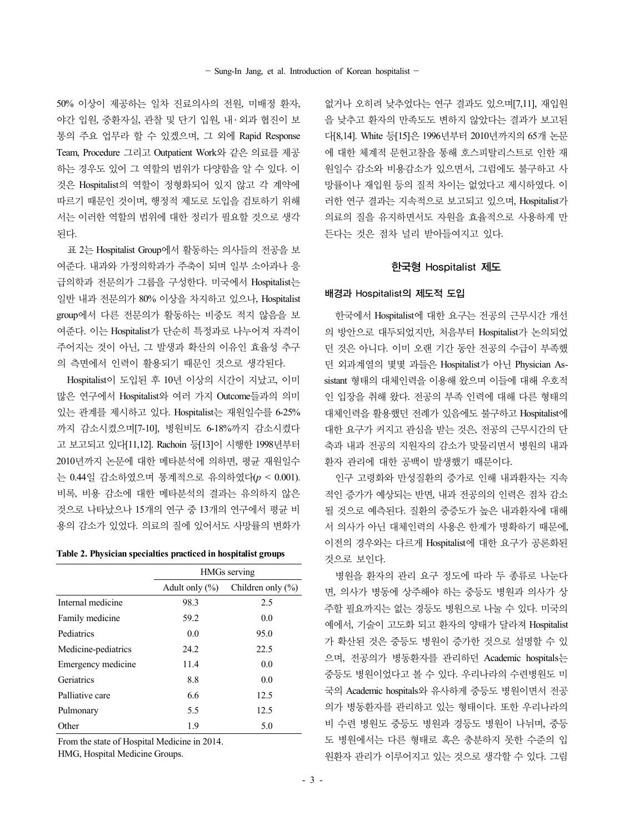50% 이상이 제공하는 일차 진료의사의 전원, 미배정 환자, 야간 입원, 중환자실, 관찰 및 단기 입원, 내․ 외과 협진이 보 통의 주요 업무라 할 수 있겠으며, 그 외에 Rapid Response Team, Procedure 그리고 Outpatient Work와 같은 의료를 제공 하는 경우도 있어 그 역할의 범위가 다양함을 알 수 있다. 이 것은 Hospitalist의 역할이 정형화되어 있지 않고 각 계약에 따르기 때문인 것이며, 행정적 제도로 도입을 검토하기 위해 서는 이러한 역할의 범위에 대한 정리가 필요할 것으로 생각 된다.

표 2는 Hospitalist Group에서 활동하는 의사들의 전공을 보 여준다. 내과와 가정의학과가 주축이 되며 일부 소아과나 응 급의학과 전문의가 그룹을 구성한다. 미국에서 Hospitalist는 일반 내과 전문의가 80% 이상을 차지하고 있으나, Hospitalist group에서 다른 전문의가 활동하는 비중도 적지 않음을 보 여준다. 이는 Hospitalist가 단순히 특정과로 나누어져 자격이 주어지는 것이 아닌, 그 발생과 확산의 이유인 효율성 추구 의 측면에서 인력이 활용되기 때문인 것으로 생각된다.

Hospitalist이 도입된 후 10년 이상의 시간이 지났고, 이미 많은 연구에서 Hospitalist와 여러 가지 Outcome들과의 의미 있는 관계를 제시하고 있다. Hospitalist는 재원일수를 6-25% 까지 감소시켰으며[7-10], 병원비도 6-18%까지 감소시켰다 고 보고되고 있다[11,12]. Rachoin 등[13]이 시행한 1998년부터 2010년까지 논문에 대한 메타분석에 의하면, 평균 재원일수 는 0.44일 감소하였으며 통계적으로 유의하였다(*p* < 0.001). 비록, 비용 감소에 대한 메타분석의 결과는 유의하지 않은 것으로 나타났으나 15개의 연구 중 13개의 연구에서 평균 비 용의 감소가 있었다. 의료의 질에 있어서도 사망률의 변화가

**Table 2. Physician specialties practiced in hospitalist groups** 

|                     | HMGs serving       |                   |
|---------------------|--------------------|-------------------|
|                     | Adult only $(\% )$ | Children only (%) |
| Internal medicine   | 98.3               | 2.5               |
| Family medicine     | 59.2               | 0.0               |
| Pediatrics          | 0.0                | 95.0              |
| Medicine-pediatrics | 24.2               | 22.5              |
| Emergency medicine  | 11.4               | 0.0               |
| Geriatrics          | 8.8                | 0.0               |
| Palliative care     | 6.6                | 12.5              |
| Pulmonary           | 5.5                | 12.5              |
| Other               | 1.9                | 5.0               |

From the state of Hospital Medicine in 2014.

HMG, Hospital Medicine Groups.

없거나 오히려 낮추었다는 연구 결과도 있으며[7,11], 재입원 을 낮추고 환자의 만족도도 변하지 않았다는 결과가 보고된 다[8,14]. White 등[15]은 1996년부터 2010년까지의 65개 논문 에 대한 체계적 문헌고찰을 통해 호스피탈리스트로 인한 재 원일수 감소와 비용감소가 있으면서, 그럼에도 불구하고 사 망률이나 재입원 등의 질적 차이는 없었다고 제시하였다. 이 러한 연구 결과는 지속적으로 보고되고 있으며, Hospitalist가 의료의 질을 유지하면서도 자원을 효율적으로 사용하게 만 든다는 것은 점차 널리 받아들여지고 있다.

### 한국형 Hospitalist 제도

#### 배경과 Hospitalist의 제도적 도입

한국에서 Hospitalist에 대한 요구는 전공의 근무시간 개선 의 방안으로 대두되었지만, 처음부터 Hospitalist가 논의되었 던 것은 아니다. 이미 오랜 기간 동안 전공의 수급이 부족했 던 외과계열의 몇몇 과들은 Hospitalist가 아닌 Physician Assistant 형태의 대체인력을 이용해 왔으며 이들에 대해 우호적 인 입장을 취해 왔다. 전공의 부족 인력에 대해 다른 형태의 대체인력을 활용했던 전례가 있음에도 불구하고 Hospitalist에 대한 요구가 커지고 관심을 받는 것은, 전공의 근무시간의 단 축과 내과 전공의 지원자의 감소가 맞물리면서 병원의 내과 환자 관리에 대한 공백이 발생했기 때문이다.

인구 고령화와 만성질환의 증가로 인해 내과환자는 지속 적인 증가가 예상되는 반면, 내과 전공의의 인력은 점차 감소 될 것으로 예측된다. 질환의 중증도가 높은 내과환자에 대해 서 의사가 아닌 대체인력의 사용은 한계가 명확하기 때문에, 이전의 경우와는 다르게 Hospitalist에 대한 요구가 공론화된 것으로 보인다.

병원을 환자의 관리 요구 정도에 따라 두 종류로 나눈다 면, 의사가 병동에 상주해야 하는 중등도 병원과 의사가 상 주할 필요까지는 없는 경등도 병원으로 나눌 수 있다. 미국의 예에서, 기술이 고도화 되고 환자의 양태가 달라져 Hospitalist 가 확산된 것은 중등도 병원이 증가한 것으로 설명할 수 있 으며, 전공의가 병동환자를 관리하던 Academic hospitals는 중등도 병원이었다고 볼 수 있다. 우리나라의 수련병원도 미 국의 Academic hospitals와 유사하게 중등도 병원이면서 전공 의가 병동환자를 관리하고 있는 형태이다. 또한 우리나라의 비 수련 병원도 중등도 병원과 경등도 병원이 나뉘며, 중등 도 병원에서는 다른 형태로 혹은 충분하지 못한 수준의 입 원환자 관리가 이루어지고 있는 것으로 생각할 수 있다. 그림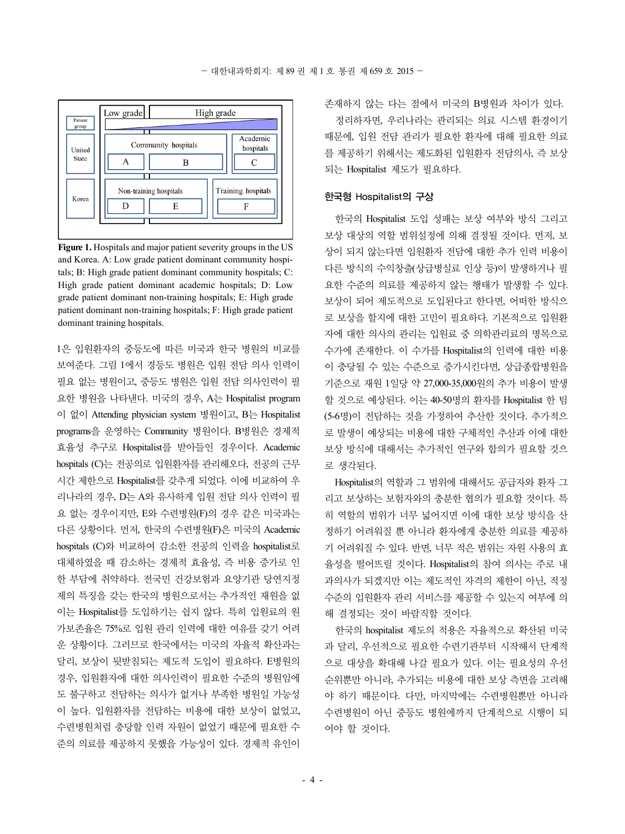

**Figure 1.** Hospitals and major patient severity groups in the US and Korea. A: Low grade patient dominant community hospitals; B: High grade patient dominant community hospitals; C: High grade patient dominant academic hospitals; D: Low grade patient dominant non-training hospitals; E: High grade patient dominant non-training hospitals; F: High grade patient dominant training hospitals.

1은 입원환자의 중등도에 따른 미국과 한국 병원의 비교를 보여준다. 그림 1에서 경등도 병원은 입원 전담 의사 인력이 필요 없는 병원이고, 중등도 병원은 입원 전담 의사인력이 필 요한 병원을 나타낸다. 미국의 경우, A는 Hospitalist program 이 없이 Attending physician system 병원이고, B는 Hospitalist programs을 운영하는 Community 병원이다. B병원은 경제적 효율성 추구로 Hospitalist를 받아들인 경우이다. Academic hospitals (C)는 전공의로 입원환자를 관리해오다, 전공의 근무 시간 제한으로 Hospitalist를 갖추게 되었다. 이에 비교하여 우 리나라의 경우, D는 A와 유사하게 입원 전담 의사 인력이 필 요 없는 경우이지만, E와 수련병원(F)의 경우 같은 미국과는 다른 상황이다. 먼저, 한국의 수련병원(F)은 미국의 Academic hospitals (C)와 비교하여 감소한 전공의 인력을 hospitalist로 대체하였을 때 감소하는 경제적 효율성, 즉 비용 증가로 인 한 부담에 취약하다. 전국민 건강보험과 요양기관 당연지정 제의 특징을 갖는 한국의 병원으로서는 추가적인 재원을 없 이는 Hospitalist를 도입하기는 쉽지 않다. 특히 입원료의 원 가보존율은 75%로 입원 관리 인력에 대한 여유를 갖기 어려 운 상황이다. 그러므로 한국에서는 미국의 자율적 확산과는 달리, 보상이 뒷받침되는 제도적 도입이 필요하다. E병원의 경우, 입원환자에 대한 의사인력이 필요한 수준의 병원임에 도 불구하고 전담하는 의사가 없거나 부족한 병원일 가능성 이 높다. 입원환자를 전담하는 비용에 대한 보상이 없었고, 수련병원처럼 충당할 인력 자원이 없었기 때문에 필요한 수 준의 의료를 제공하지 못했을 가능성이 있다. 경제적 유인이 존재하지 않는 다는 점에서 미국의 B병원과 차이가 있다.

정리하자면, 우리나라는 관리되는 의료 시스템 환경이기 때문에, 입원 전담 관리가 필요한 환자에 대해 필요한 의료 를 제공하기 위해서는 제도화된 입원환자 전담의사, 즉 보상 되는 Hospitalist 제도가 필요하다.

## 한국형 Hospitalist의 구상

한국의 Hospitalist 도입 성패는 보상 여부와 방식 그리고 보상 대상의 역할 범위설정에 의해 결정될 것이다. 먼저, 보 상이 되지 않는다면 입원환자 전담에 대한 추가 인력 비용이 다른 방식의 수익창출(상급병실료 인상 등)이 발생하거나 필 요한 수준의 의료를 제공하지 않는 행태가 발생할 수 있다. 보상이 되어 제도적으로 도입된다고 한다면, 어떠한 방식으 로 보상을 할지에 대한 고민이 필요하다. 기본적으로 입원환 자에 대한 의사의 관리는 입원료 중 의학관리료의 명목으로 수가에 존재한다. 이 수가를 Hospitalist의 인력에 대한 비용 이 충당될 수 있는 수준으로 증가시킨다면, 상급종합병원을 기준으로 재원 1일당 약 27,000-35,000원의 추가 비용이 발생 할 것으로 예상된다. 이는 40-50명의 환자를 Hospitalist 한 팀 (5-6명)이 전담하는 것을 가정하여 추산한 것이다. 추가적으 로 발생이 예상되는 비용에 대한 구체적인 추산과 이에 대한 보상 방식에 대해서는 추가적인 연구와 합의가 필요할 것으 로 생각된다.

Hospitalist의 역할과 그 범위에 대해서도 공급자와 환자 그 리고 보상하는 보험자와의 충분한 협의가 필요할 것이다. 특 히 역할의 범위가 너무 넓어지면 이에 대한 보상 방식을 산 정하기 어려워질 뿐 아니라 환자에게 충분한 의료를 제공하 기 어려워질 수 있다. 반면, 너무 적은 범위는 자원 사용의 효 율성을 떨어뜨릴 것이다. Hospitalist의 참여 의사는 주로 내 과의사가 되겠지만 이는 제도적인 자격의 제한이 아닌, 적정 수준의 입원환자 관리 서비스를 제공할 수 있는지 여부에 의 해 결정되는 것이 바람직할 것이다.

한국의 hospitalist 제도의 적용은 자율적으로 확산된 미국 과 달리, 우선적으로 필요한 수련기관부터 시작해서 단계적 으로 대상을 확대해 나갈 필요가 있다. 이는 필요성의 우선 순위뿐만 아니라, 추가되는 비용에 대한 보상 측면을 고려해 야 하기 때문이다. 다만, 마지막에는 수련병원뿐만 아니라 수련병원이 아닌 중등도 병원에까지 단계적으로 시행이 되 어야 할 것이다.